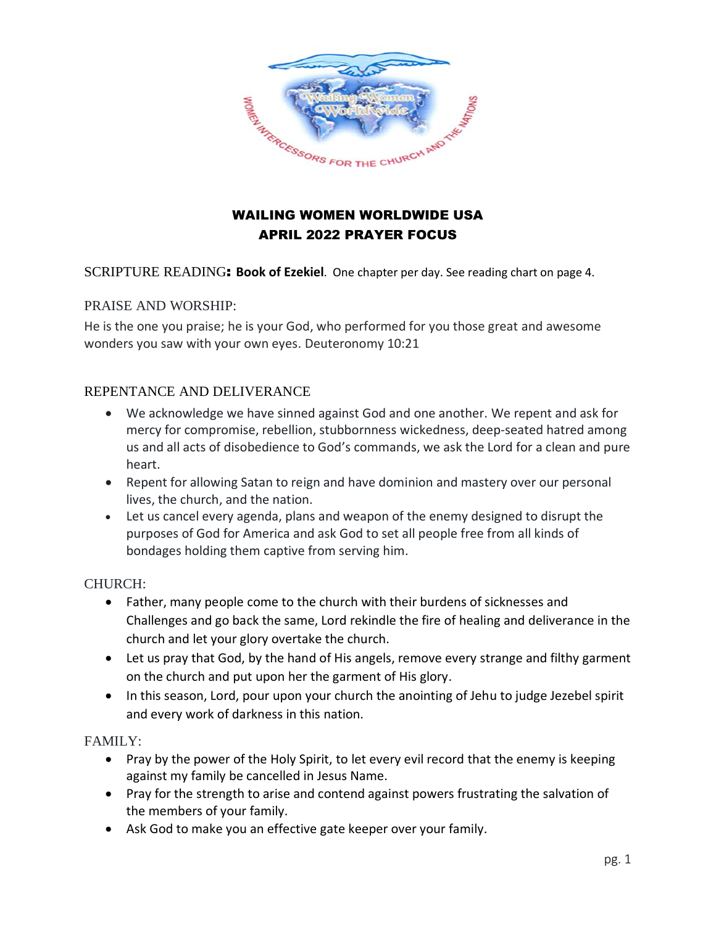

## WAILING WOMEN WORLDWIDE USA APRIL 2022 PRAYER FOCUS

SCRIPTURE READING: **Book of Ezekiel**. One chapter per day. See reading chart on page 4.

#### PRAISE AND WORSHIP:

He is the one you praise; he is your God, who performed for you those great and awesome wonders you saw with your own eyes. Deuteronomy 10:21

#### REPENTANCE AND DELIVERANCE

- We acknowledge we have sinned against God and one another. We repent and ask for mercy for compromise, rebellion, stubbornness wickedness, deep-seated hatred among us and all acts of disobedience to God's commands, we ask the Lord for a clean and pure heart.
- Repent for allowing Satan to reign and have dominion and mastery over our personal lives, the church, and the nation.
- Let us cancel every agenda, plans and weapon of the enemy designed to disrupt the purposes of God for America and ask God to set all people free from all kinds of bondages holding them captive from serving him.

#### CHURCH:

- Father, many people come to the church with their burdens of sicknesses and Challenges and go back the same, Lord rekindle the fire of healing and deliverance in the church and let your glory overtake the church.
- Let us pray that God, by the hand of His angels, remove every strange and filthy garment on the church and put upon her the garment of His glory.
- In this season, Lord, pour upon your church the anointing of Jehu to judge Jezebel spirit and every work of darkness in this nation.

#### FAMILY:

- Pray by the power of the Holy Spirit, to let every evil record that the enemy is keeping against my family be cancelled in Jesus Name.
- Pray for the strength to arise and contend against powers frustrating the salvation of the members of your family.
- Ask God to make you an effective gate keeper over your family.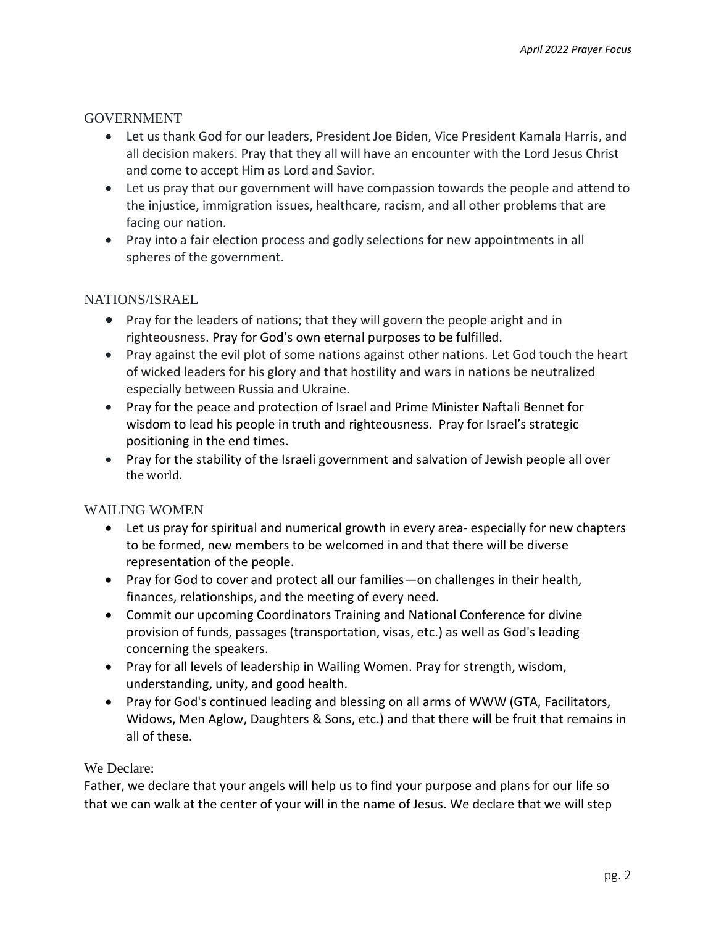#### GOVERNMENT

- Let us thank God for our leaders, President Joe Biden, Vice President Kamala Harris, and all decision makers. Pray that they all will have an encounter with the Lord Jesus Christ and come to accept Him as Lord and Savior.
- Let us pray that our government will have compassion towards the people and attend to the injustice, immigration issues, healthcare, racism, and all other problems that are facing our nation.
- Pray into a fair election process and godly selections for new appointments in all spheres of the government.

#### NATIONS/ISRAEL

- Pray for the leaders of nations; that they will govern the people aright and in righteousness. Pray for God's own eternal purposes to be fulfilled.
- Pray against the evil plot of some nations against other nations. Let God touch the heart of wicked leaders for his glory and that hostility and wars in nations be neutralized especially between Russia and Ukraine.
- Pray for the peace and protection of Israel and Prime Minister Naftali Bennet for wisdom to lead his people in truth and righteousness. Pray for Israel's strategic positioning in the end times.
- Pray for the stability of the Israeli government and salvation of Jewish people all over the world.

#### WAILING WOMEN

- Let us pray for spiritual and numerical growth in every area- especially for new chapters to be formed, new members to be welcomed in and that there will be diverse representation of the people.
- Pray for God to cover and protect all our families—on challenges in their health, finances, relationships, and the meeting of every need.
- Commit our upcoming Coordinators Training and National Conference for divine provision of funds, passages (transportation, visas, etc.) as well as God's leading concerning the speakers.
- Pray for all levels of leadership in Wailing Women. Pray for strength, wisdom, understanding, unity, and good health.
- Pray for God's continued leading and blessing on all arms of WWW (GTA, Facilitators, Widows, Men Aglow, Daughters & Sons, etc.) and that there will be fruit that remains in all of these.

#### We Declare:

Father, we declare that your angels will help us to find your purpose and plans for our life so that we can walk at the center of your will in the name of Jesus. We declare that we will step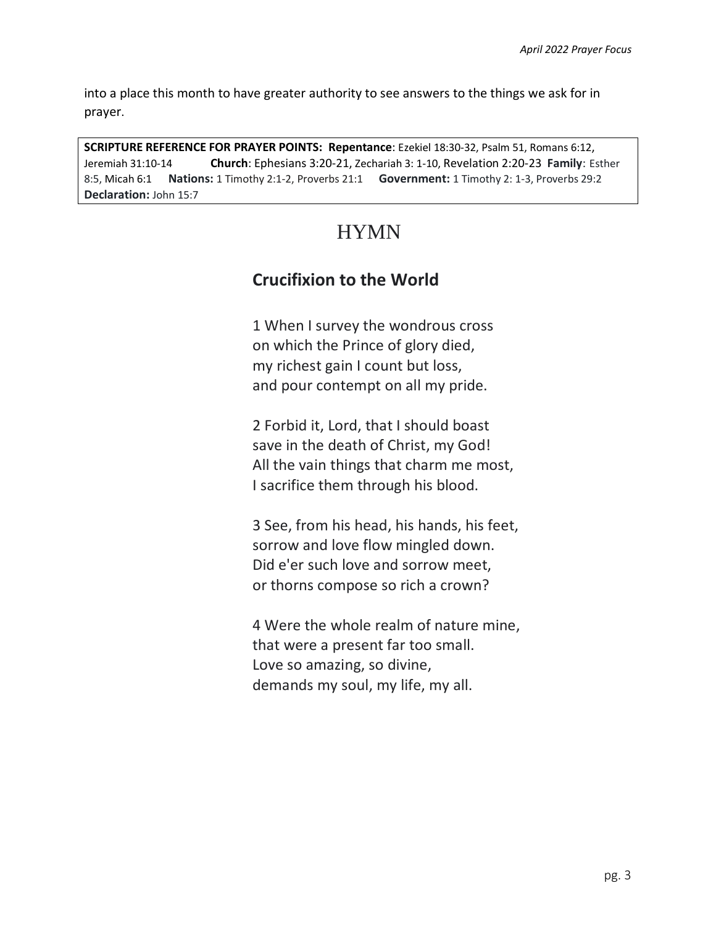into a place this month to have greater authority to see answers to the things we ask for in prayer.

**SCRIPTURE REFERENCE FOR PRAYER POINTS: Repentance**: Ezekiel 18:30-32, Psalm 51, Romans 6:12, Jeremiah 31:10-14 **Church**: Ephesians 3:20-21, Zechariah 3: 1-10, Revelation 2:20-23 **Family**: Esther 8:5, Micah 6:1 **Nations:** 1 Timothy 2:1-2, Proverbs 21:1 **Government:** 1 Timothy 2: 1-3, Proverbs 29:2 **Declaration:** John 15:7

# HYMN

# **Crucifixion to the World**

1 When I survey the wondrous cross on which the Prince of glory died, my richest gain I count but loss, and pour contempt on all my pride.

2 Forbid it, Lord, that I should boast save in the death of Christ, my God! All the vain things that charm me most, I sacrifice them through his blood.

3 See, from his head, his hands, his feet, sorrow and love flow mingled down. Did e'er such love and sorrow meet, or thorns compose so rich a crown?

4 Were the whole realm of nature mine, that were a present far too small. Love so amazing, so divine, demands my soul, my life, my all.